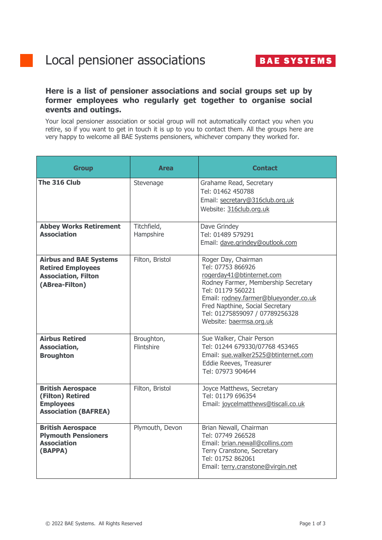## **Here is a list of pensioner associations and social groups set up by former employees who regularly get together to organise social events and outings.**

Your local pensioner association or social group will not automatically contact you when you retire, so if you want to get in touch it is up to you to contact them. All the groups here are very happy to welcome all BAE Systems pensioners, whichever company they worked for.

| <b>Group</b>                                                                                              | <b>Area</b>              | <b>Contact</b>                                                                                                                                                                                                                                                             |
|-----------------------------------------------------------------------------------------------------------|--------------------------|----------------------------------------------------------------------------------------------------------------------------------------------------------------------------------------------------------------------------------------------------------------------------|
| The 316 Club                                                                                              | Stevenage                | Grahame Read, Secretary<br>Tel: 01462 450788<br>Email: secretary@316club.org.uk<br>Website: 316club.org.uk                                                                                                                                                                 |
| <b>Abbey Works Retirement</b><br><b>Association</b>                                                       | Titchfield,<br>Hampshire | Dave Grindey<br>Tel: 01489 579291<br>Email: dave.grindey@outlook.com                                                                                                                                                                                                       |
| <b>Airbus and BAE Systems</b><br><b>Retired Employees</b><br><b>Association, Filton</b><br>(ABrea-Filton) | Filton, Bristol          | Roger Day, Chairman<br>Tel: 07753 866926<br>rogerday41@btinternet.com<br>Rodney Farmer, Membership Secretary<br>Tel: 01179 560221<br>Email: rodney.farmer@blueyonder.co.uk<br>Fred Napthine, Social Secretary<br>Tel: 01275859097 / 07789256328<br>Website: baermsa.org.uk |
| <b>Airbus Retired</b><br>Association,<br><b>Broughton</b>                                                 | Broughton,<br>Flintshire | Sue Walker, Chair Person<br>Tel: 01244 679330/07768 453465<br>Email: sue.walker2525@btinternet.com<br>Eddie Reeves, Treasurer<br>Tel: 07973 904644                                                                                                                         |
| <b>British Aerospace</b><br>(Filton) Retired<br><b>Employees</b><br><b>Association (BAFREA)</b>           | Filton, Bristol          | Joyce Matthews, Secretary<br>Tel: 01179 696354<br>Email: joycelmatthews@tiscali.co.uk                                                                                                                                                                                      |
| <b>British Aerospace</b><br><b>Plymouth Pensioners</b><br><b>Association</b><br>(BAPPA)                   | Plymouth, Devon          | Brian Newall, Chairman<br>Tel: 07749 266528<br>Email: brian.newall@collins.com<br>Terry Cranstone, Secretary<br>Tel: 01752 862061<br>Email: terry.cranstone@virgin.net                                                                                                     |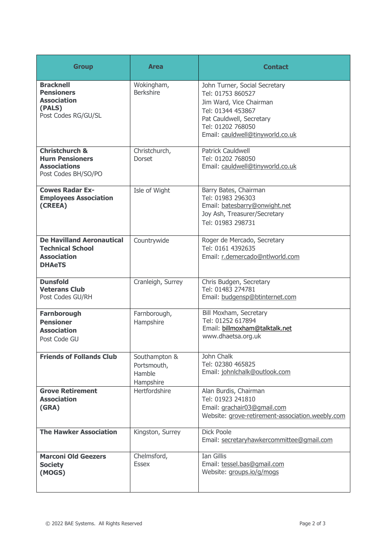| <b>Group</b>                                                                                       | <b>Area</b>                                         | <b>Contact</b>                                                                                                                                                                          |
|----------------------------------------------------------------------------------------------------|-----------------------------------------------------|-----------------------------------------------------------------------------------------------------------------------------------------------------------------------------------------|
| <b>Bracknell</b><br><b>Pensioners</b><br><b>Association</b><br>(PALS)<br>Post Codes RG/GU/SL       | Wokingham,<br><b>Berkshire</b>                      | John Turner, Social Secretary<br>Tel: 01753 860527<br>Jim Ward, Vice Chairman<br>Tel: 01344 453867<br>Pat Cauldwell, Secretary<br>Tel: 01202 768050<br>Email: cauldwell@tinyworld.co.uk |
| <b>Christchurch &amp;</b><br><b>Hurn Pensioners</b><br><b>Associations</b><br>Post Codes BH/SO/PO  | Christchurch,<br><b>Dorset</b>                      | <b>Patrick Cauldwell</b><br>Tel: 01202 768050<br>Email: cauldwell@tinyworld.co.uk                                                                                                       |
| <b>Cowes Radar Ex-</b><br><b>Employees Association</b><br>(CREEA)                                  | Isle of Wight                                       | Barry Bates, Chairman<br>Tel: 01983 296303<br>Email: batesbarry@onwight.net<br>Joy Ash, Treasurer/Secretary<br>Tel: 01983 298731                                                        |
| <b>De Havilland Aeronautical</b><br><b>Technical School</b><br><b>Association</b><br><b>DHAeTS</b> | Countrywide                                         | Roger de Mercado, Secretary<br>Tel: 0161 4392635<br>Email: r.demercado@ntlworld.com                                                                                                     |
| <b>Dunsfold</b><br><b>Veterans Club</b><br>Post Codes GU/RH                                        | Cranleigh, Surrey                                   | Chris Budgen, Secretary<br>Tel: 01483 274781<br>Email: budgensp@btinternet.com                                                                                                          |
| <b>Farnborough</b><br><b>Pensioner</b><br><b>Association</b><br>Post Code GU                       | Farnborough,<br>Hampshire                           | Bill Moxham, Secretary<br>Tel: 01252 617894<br>Email: billmoxham@talktalk.net<br>www.dhaetsa.org.uk                                                                                     |
| <b>Friends of Follands Club</b>                                                                    | Southampton &<br>Portsmouth,<br>Hamble<br>Hampshire | John Chalk<br>Tel: 02380 465825<br>Email: johnlchalk@outlook.com                                                                                                                        |
| <b>Grove Retirement</b><br><b>Association</b><br>(GRA)                                             | Hertfordshire                                       | Alan Burdis, Chairman<br>Tel: 01923 241810<br>Email: grachair03@gmail.com<br>Website: grove-retirement-association.weebly.com                                                           |
| <b>The Hawker Association</b>                                                                      | Kingston, Surrey                                    | <b>Dick Poole</b><br>Email: secretaryhawkercommittee@gmail.com                                                                                                                          |
| <b>Marconi Old Geezers</b><br><b>Society</b><br>(MOGS)                                             | Chelmsford,<br><b>Essex</b>                         | <b>Ian Gillis</b><br>Email: tessel.bas@gmail.com<br>Website: groups.io/g/mogs                                                                                                           |